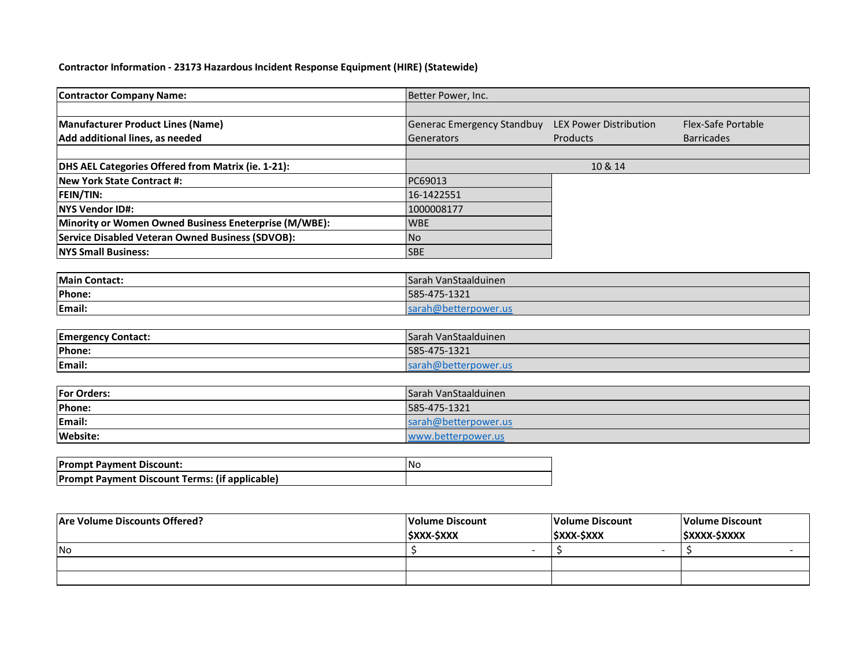## **Contractor Information - 23173 Hazardous Incident Response Equipment (HIRE) (Statewide)**

| <b>Contractor Company Name:</b>                         | Better Power, Inc.                |                               |                    |
|---------------------------------------------------------|-----------------------------------|-------------------------------|--------------------|
|                                                         |                                   |                               |                    |
| <b>Manufacturer Product Lines (Name)</b>                | <b>Generac Emergency Standbuy</b> | <b>LEX Power Distribution</b> | Flex-Safe Portable |
| Add additional lines, as needed                         | Generators                        | Products                      | <b>Barricades</b>  |
|                                                         |                                   |                               |                    |
| DHS AEL Categories Offered from Matrix (ie. 1-21):      |                                   | 10 & 14                       |                    |
| <b>New York State Contract #:</b>                       | PC69013                           |                               |                    |
| FEIN/TIN:                                               | 16-1422551                        |                               |                    |
| <b>NYS Vendor ID#:</b>                                  | 1000008177                        |                               |                    |
| Minority or Women Owned Business Eneterprise (M/WBE):   | <b>WBE</b>                        |                               |                    |
| <b>Service Disabled Veteran Owned Business (SDVOB):</b> | <b>No</b>                         |                               |                    |
| <b>NYS Small Business:</b>                              | <b>SBE</b>                        |                               |                    |
|                                                         |                                   |                               |                    |
| <b>Main Contact:</b>                                    | Sarah VanStaalduinen              |                               |                    |
| Phone:                                                  | 585-475-1321                      |                               |                    |
| Email:                                                  | sarah@betterpower.us              |                               |                    |
|                                                         |                                   |                               |                    |
| <b>Emergency Contact:</b>                               | Sarah VanStaalduinen              |                               |                    |
| Phone:                                                  | 585-475-1321                      |                               |                    |
| Email:                                                  | sarah@betterpower.us              |                               |                    |
|                                                         |                                   |                               |                    |
| <b>For Orders:</b>                                      | Sarah VanStaalduinen              |                               |                    |
| Phone:                                                  | 585-475-1321                      |                               |                    |
| Email:                                                  | sarah@betterpower.us              |                               |                    |
| Website:                                                | www.betterpower.us                |                               |                    |
|                                                         |                                   |                               |                    |
| <b>Prompt Payment Discount:</b>                         | <b>No</b>                         |                               |                    |
| Prompt Payment Discount Terms: (if applicable)          |                                   |                               |                    |
|                                                         |                                   |                               |                    |

| <b>Are Volume Discounts Offered?</b> | Volume Discount         | Volume Discount  | Volume Discount    |
|--------------------------------------|-------------------------|------------------|--------------------|
|                                      | <b><i>SXXX-SXXX</i></b> | <b>SXXX-SXXX</b> | <b>SXXXX-SXXXX</b> |
| <b>INo</b>                           |                         |                  |                    |
|                                      |                         |                  |                    |
|                                      |                         |                  |                    |